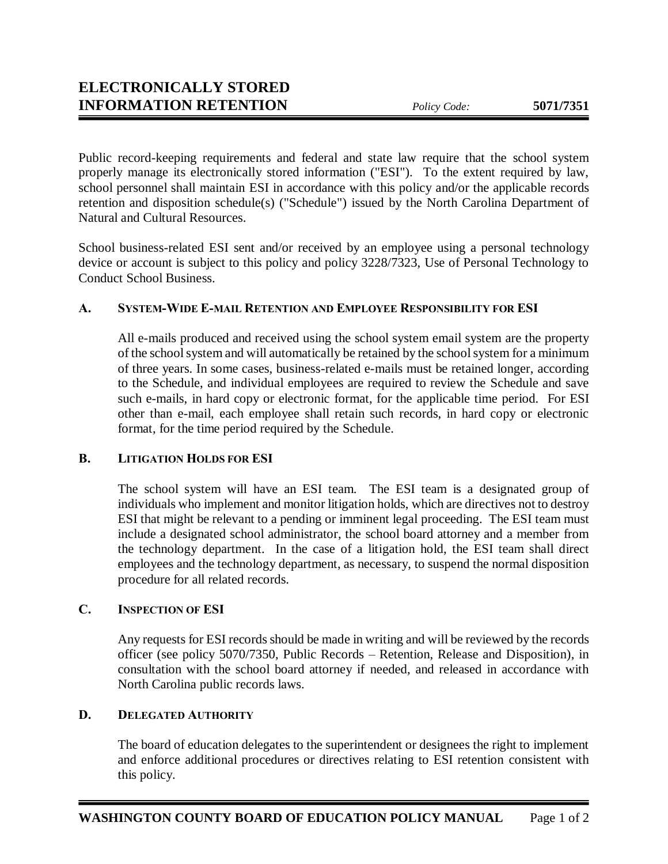Public record-keeping requirements and federal and state law require that the school system properly manage its electronically stored information ("ESI"). To the extent required by law, school personnel shall maintain ESI in accordance with this policy and/or the applicable records retention and disposition schedule(s) ("Schedule") issued by the North Carolina Department of Natural and Cultural Resources.

School business-related ESI sent and/or received by an employee using a personal technology device or account is subject to this policy and policy 3228/7323, Use of Personal Technology to Conduct School Business.

## **A. SYSTEM-WIDE E-MAIL RETENTION AND EMPLOYEE RESPONSIBILITY FOR ESI**

All e-mails produced and received using the school system email system are the property of the school system and will automatically be retained by the school system for a minimum of three years. In some cases, business-related e-mails must be retained longer, according to the Schedule, and individual employees are required to review the Schedule and save such e-mails, in hard copy or electronic format, for the applicable time period. For ESI other than e-mail, each employee shall retain such records, in hard copy or electronic format, for the time period required by the Schedule.

## **B. LITIGATION HOLDS FOR ESI**

The school system will have an ESI team. The ESI team is a designated group of individuals who implement and monitor litigation holds, which are directives not to destroy ESI that might be relevant to a pending or imminent legal proceeding. The ESI team must include a designated school administrator, the school board attorney and a member from the technology department. In the case of a litigation hold, the ESI team shall direct employees and the technology department, as necessary, to suspend the normal disposition procedure for all related records.

## **C. INSPECTION OF ESI**

Any requests for ESI records should be made in writing and will be reviewed by the records officer (see policy 5070/7350, Public Records – Retention, Release and Disposition), in consultation with the school board attorney if needed, and released in accordance with North Carolina public records laws.

## **D. DELEGATED AUTHORITY**

The board of education delegates to the superintendent or designees the right to implement and enforce additional procedures or directives relating to ESI retention consistent with this policy.